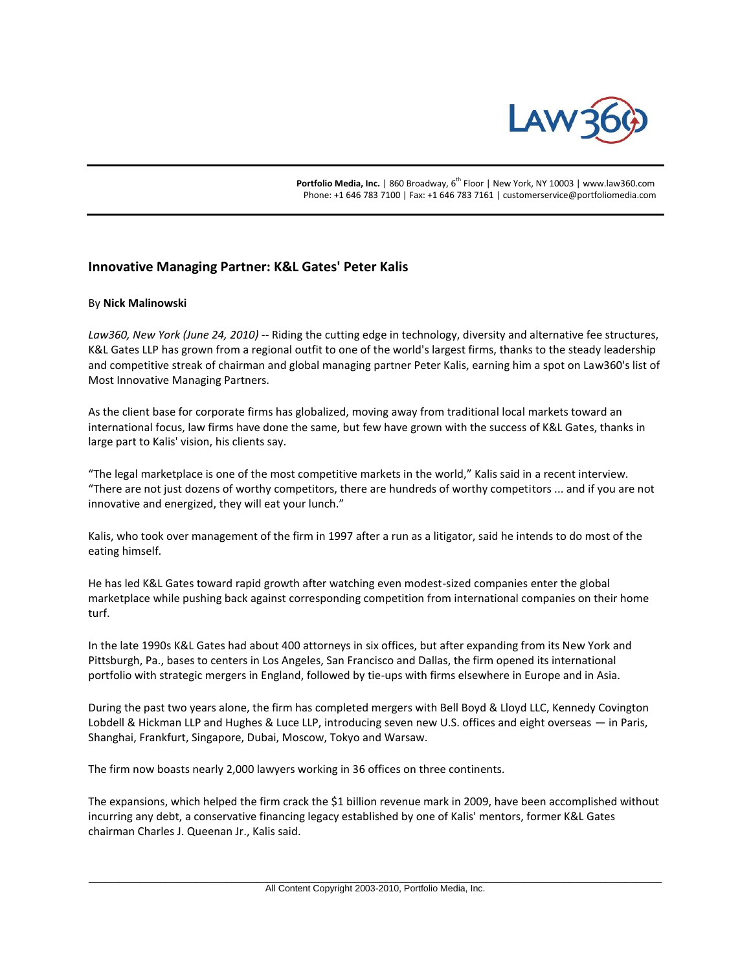

Portfolio Media, Inc. | 860 Broadway, 6<sup>th</sup> Floor | New York, NY 10003 | www.law360.com Phone: +1 646 783 7100 | Fax: +1 646 783 7161 | customerservice@portfoliomedia.com

## **Innovative Managing Partner: K&L Gates' Peter Kalis**

## By **Nick Malinowski**

*Law360, New York (June 24, 2010)* -- Riding the cutting edge in technology, diversity and alternative fee structures, K&L Gates LLP has grown from a regional outfit to one of the world's largest firms, thanks to the steady leadership and competitive streak of chairman and global managing partner Peter Kalis, earning him a spot on Law360's list of Most Innovative Managing Partners.

As the client base for corporate firms has globalized, moving away from traditional local markets toward an international focus, law firms have done the same, but few have grown with the success of K&L Gates, thanks in large part to Kalis' vision, his clients say.

"The legal marketplace is one of the most competitive markets in the world," Kalis said in a recent interview. "There are not just dozens of worthy competitors, there are hundreds of worthy competitors ... and if you are not innovative and energized, they will eat your lunch."

Kalis, who took over management of the firm in 1997 after a run as a litigator, said he intends to do most of the eating himself.

He has led K&L Gates toward rapid growth after watching even modest-sized companies enter the global marketplace while pushing back against corresponding competition from international companies on their home turf.

In the late 1990s K&L Gates had about 400 attorneys in six offices, but after expanding from its New York and Pittsburgh, Pa., bases to centers in Los Angeles, San Francisco and Dallas, the firm opened its international portfolio with strategic mergers in England, followed by tie-ups with firms elsewhere in Europe and in Asia.

During the past two years alone, the firm has completed mergers with Bell Boyd & Lloyd LLC, Kennedy Covington Lobdell & Hickman LLP and Hughes & Luce LLP, introducing seven new U.S. offices and eight overseas — in Paris, Shanghai, Frankfurt, Singapore, Dubai, Moscow, Tokyo and Warsaw.

The firm now boasts nearly 2,000 lawyers working in 36 offices on three continents.

The expansions, which helped the firm crack the \$1 billion revenue mark in 2009, have been accomplished without incurring any debt, a conservative financing legacy established by one of Kalis' mentors, former K&L Gates chairman Charles J. Queenan Jr., Kalis said.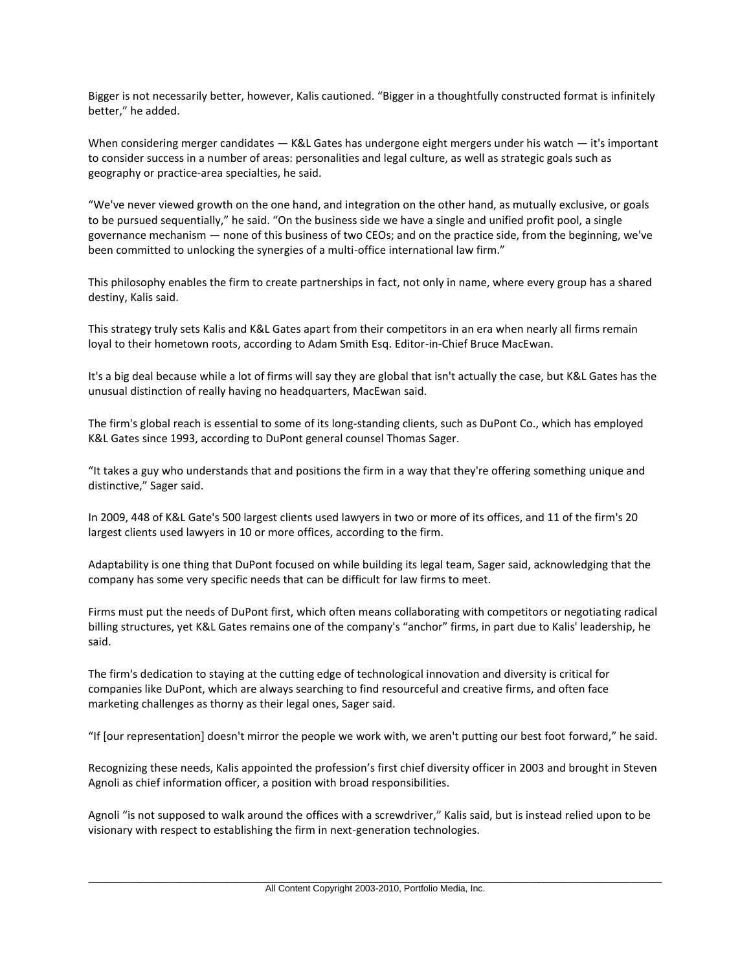Bigger is not necessarily better, however, Kalis cautioned. "Bigger in a thoughtfully constructed format is infinitely better," he added.

When considering merger candidates — K&L Gates has undergone eight mergers under his watch — it's important to consider success in a number of areas: personalities and legal culture, as well as strategic goals such as geography or practice-area specialties, he said.

"We've never viewed growth on the one hand, and integration on the other hand, as mutually exclusive, or goals to be pursued sequentially," he said. "On the business side we have a single and unified profit pool, a single governance mechanism — none of this business of two CEOs; and on the practice side, from the beginning, we've been committed to unlocking the synergies of a multi-office international law firm."

This philosophy enables the firm to create partnerships in fact, not only in name, where every group has a shared destiny, Kalis said.

This strategy truly sets Kalis and K&L Gates apart from their competitors in an era when nearly all firms remain loyal to their hometown roots, according to Adam Smith Esq. Editor-in-Chief Bruce MacEwan.

It's a big deal because while a lot of firms will say they are global that isn't actually the case, but K&L Gates has the unusual distinction of really having no headquarters, MacEwan said.

The firm's global reach is essential to some of its long-standing clients, such as DuPont Co., which has employed K&L Gates since 1993, according to DuPont general counsel Thomas Sager.

"It takes a guy who understands that and positions the firm in a way that they're offering something unique and distinctive," Sager said.

In 2009, 448 of K&L Gate's 500 largest clients used lawyers in two or more of its offices, and 11 of the firm's 20 largest clients used lawyers in 10 or more offices, according to the firm.

Adaptability is one thing that DuPont focused on while building its legal team, Sager said, acknowledging that the company has some very specific needs that can be difficult for law firms to meet.

Firms must put the needs of DuPont first, which often means collaborating with competitors or negotiating radical billing structures, yet K&L Gates remains one of the company's "anchor" firms, in part due to Kalis' leadership, he said.

The firm's dedication to staying at the cutting edge of technological innovation and diversity is critical for companies like DuPont, which are always searching to find resourceful and creative firms, and often face marketing challenges as thorny as their legal ones, Sager said.

"If [our representation] doesn't mirror the people we work with, we aren't putting our best foot forward," he said.

Recognizing these needs, Kalis appointed the profession's first chief diversity officer in 2003 and brought in Steven Agnoli as chief information officer, a position with broad responsibilities.

Agnoli "is not supposed to walk around the offices with a screwdriver," Kalis said, but is instead relied upon to be visionary with respect to establishing the firm in next-generation technologies.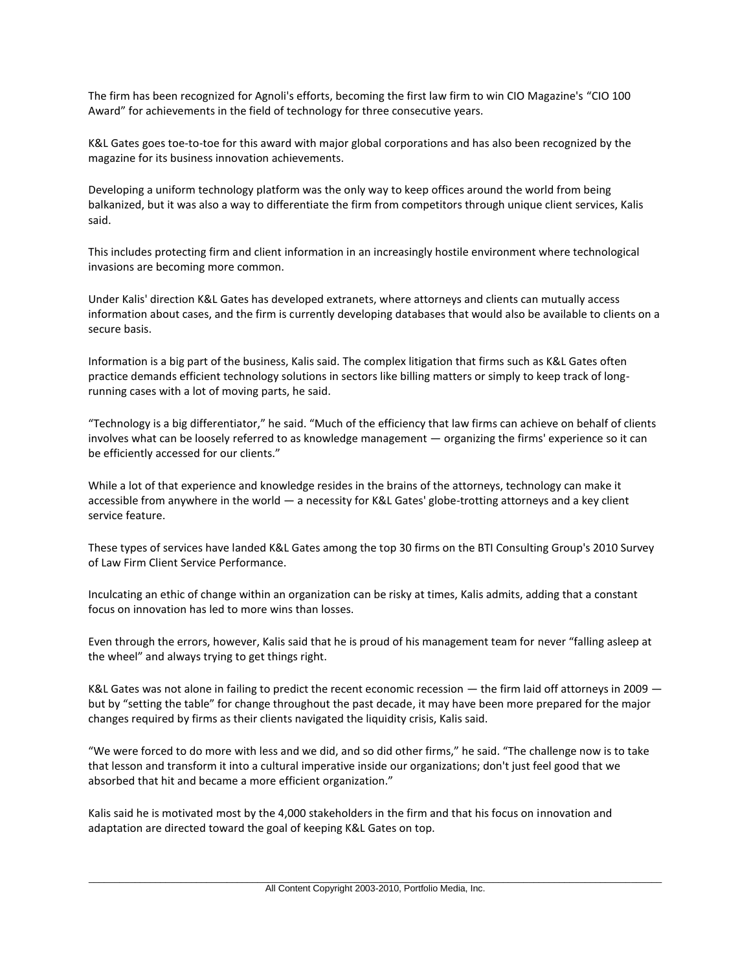The firm has been recognized for Agnoli's efforts, becoming the first law firm to win CIO Magazine's "CIO 100 Award" for achievements in the field of technology for three consecutive years.

K&L Gates goes toe-to-toe for this award with major global corporations and has also been recognized by the magazine for its business innovation achievements.

Developing a uniform technology platform was the only way to keep offices around the world from being balkanized, but it was also a way to differentiate the firm from competitors through unique client services, Kalis said.

This includes protecting firm and client information in an increasingly hostile environment where technological invasions are becoming more common.

Under Kalis' direction K&L Gates has developed extranets, where attorneys and clients can mutually access information about cases, and the firm is currently developing databases that would also be available to clients on a secure basis.

Information is a big part of the business, Kalis said. The complex litigation that firms such as K&L Gates often practice demands efficient technology solutions in sectors like billing matters or simply to keep track of longrunning cases with a lot of moving parts, he said.

"Technology is a big differentiator," he said. "Much of the efficiency that law firms can achieve on behalf of clients involves what can be loosely referred to as knowledge management — organizing the firms' experience so it can be efficiently accessed for our clients."

While a lot of that experience and knowledge resides in the brains of the attorneys, technology can make it accessible from anywhere in the world — a necessity for K&L Gates' globe-trotting attorneys and a key client service feature.

These types of services have landed K&L Gates among the top 30 firms on the BTI Consulting Group's 2010 Survey of Law Firm Client Service Performance.

Inculcating an ethic of change within an organization can be risky at times, Kalis admits, adding that a constant focus on innovation has led to more wins than losses.

Even through the errors, however, Kalis said that he is proud of his management team for never "falling asleep at the wheel" and always trying to get things right.

K&L Gates was not alone in failing to predict the recent economic recession — the firm laid off attorneys in 2009 but by "setting the table" for change throughout the past decade, it may have been more prepared for the major changes required by firms as their clients navigated the liquidity crisis, Kalis said.

"We were forced to do more with less and we did, and so did other firms," he said. "The challenge now is to take that lesson and transform it into a cultural imperative inside our organizations; don't just feel good that we absorbed that hit and became a more efficient organization."

Kalis said he is motivated most by the 4,000 stakeholders in the firm and that his focus on innovation and adaptation are directed toward the goal of keeping K&L Gates on top.